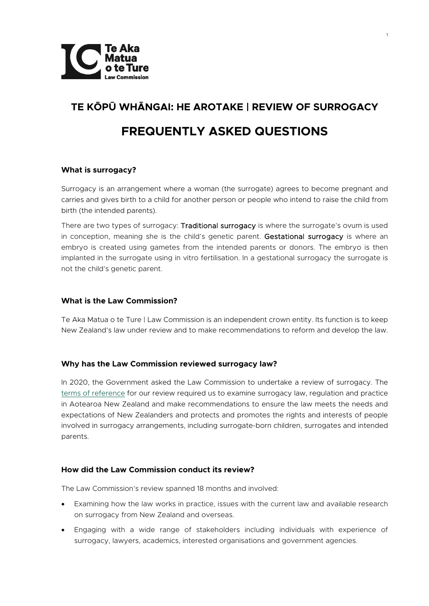

# **TE KŌPŪ WHĀNGAI: HE AROTAKE | REVIEW OF SURROGACY FREQUENTLY ASKED QUESTIONS**

# **What is surrogacy?**

Surrogacy is an arrangement where a woman (the surrogate) agrees to become pregnant and carries and gives birth to a child for another person or people who intend to raise the child from birth (the intended parents).

There are two types of surrogacy: Traditional surrogacy is where the surrogate's ovum is used in conception, meaning she is the child's genetic parent. Gestational surrogacy is where an embryo is created using gametes from the intended parents or donors. The embryo is then implanted in the surrogate using in vitro fertilisation. In a gestational surrogacy the surrogate is not the child's genetic parent.

# **What is the Law Commission?**

Te Aka Matua o te Ture | Law Commission is an independent crown entity. Its function is to keep New Zealand's law under review and to make recommendations to reform and develop the law.

# **Why has the Law Commission reviewed surrogacy law?**

In 2020, the Government asked the Law Commission to undertake a review of surrogacy. The [terms of reference](https://www.lawcom.govt.nz/sites/default/files/projectAttachments/Surrogacy%20Review%20Terms%20of%20Reference.pdf) for our review required us to examine surrogacy law, regulation and practice in Aotearoa New Zealand and make recommendations to ensure the law meets the needs and expectations of New Zealanders and protects and promotes the rights and interests of people involved in surrogacy arrangements, including surrogate-born children, surrogates and intended parents.

# **How did the Law Commission conduct its review?**

The Law Commission's review spanned 18 months and involved:

- Examining how the law works in practice, issues with the current law and available research on surrogacy from New Zealand and overseas.
- Engaging with a wide range of stakeholders including individuals with experience of surrogacy, lawyers, academics, interested organisations and government agencies.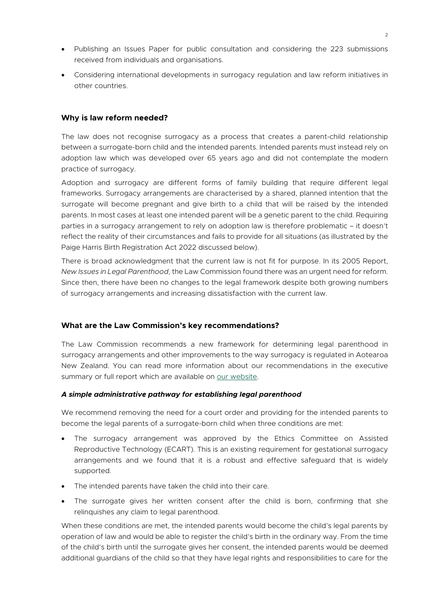- Publishing an Issues Paper for public consultation and considering the 223 submissions received from individuals and organisations.
- Considering international developments in surrogacy regulation and law reform initiatives in other countries.

## **Why is law reform needed?**

The law does not recognise surrogacy as a process that creates a parent-child relationship between a surrogate-born child and the intended parents. Intended parents must instead rely on adoption law which was developed over 65 years ago and did not contemplate the modern practice of surrogacy.

Adoption and surrogacy are different forms of family building that require different legal frameworks. Surrogacy arrangements are characterised by a shared, planned intention that the surrogate will become pregnant and give birth to a child that will be raised by the intended parents. In most cases at least one intended parent will be a genetic parent to the child. Requiring parties in a surrogacy arrangement to rely on adoption law is therefore problematic – it doesn't reflect the reality of their circumstances and fails to provide for all situations (as illustrated by the Paige Harris Birth Registration Act 2022 discussed below).

There is broad acknowledgment that the current law is not fit for purpose. In its 2005 Report, *New Issues in Legal Parenthood*, the Law Commission found there was an urgent need for reform. Since then, there have been no changes to the legal framework despite both growing numbers of surrogacy arrangements and increasing dissatisfaction with the current law.

# **What are the Law Commission's key recommendations?**

The Law Commission recommends a new framework for determining legal parenthood in surrogacy arrangements and other improvements to the way surrogacy is regulated in Aotearoa New Zealand. You can read more information about our recommendations in the executive summary or full report which are available on [our website.](https://www.lawcom.govt.nz/our-projects/review-of-surrogacy)

## *A simple administrative pathway for establishing legal parenthood*

We recommend removing the need for a court order and providing for the intended parents to become the legal parents of a surrogate-born child when three conditions are met:

- The surrogacy arrangement was approved by the Ethics Committee on Assisted Reproductive Technology (ECART). This is an existing requirement for gestational surrogacy arrangements and we found that it is a robust and effective safeguard that is widely supported.
- The intended parents have taken the child into their care.
- The surrogate gives her written consent after the child is born, confirming that she relinquishes any claim to legal parenthood.

When these conditions are met, the intended parents would become the child's legal parents by operation of law and would be able to register the child's birth in the ordinary way. From the time of the child's birth until the surrogate gives her consent, the intended parents would be deemed additional guardians of the child so that they have legal rights and responsibilities to care for the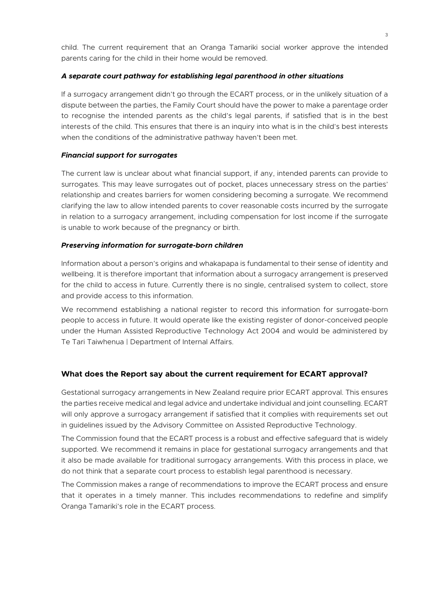child. The current requirement that an Oranga Tamariki social worker approve the intended parents caring for the child in their home would be removed.

## *A separate court pathway for establishing legal parenthood in other situations*

If a surrogacy arrangement didn't go through the ECART process, or in the unlikely situation of a dispute between the parties, the Family Court should have the power to make a parentage order to recognise the intended parents as the child's legal parents, if satisfied that is in the best interests of the child. This ensures that there is an inquiry into what is in the child's best interests when the conditions of the administrative pathway haven't been met.

## *Financial support for surrogates*

The current law is unclear about what financial support, if any, intended parents can provide to surrogates. This may leave surrogates out of pocket, places unnecessary stress on the parties' relationship and creates barriers for women considering becoming a surrogate. We recommend clarifying the law to allow intended parents to cover reasonable costs incurred by the surrogate in relation to a surrogacy arrangement, including compensation for lost income if the surrogate is unable to work because of the pregnancy or birth.

# *Preserving information for surrogate-born children*

Information about a person's origins and whakapapa is fundamental to their sense of identity and wellbeing. It is therefore important that information about a surrogacy arrangement is preserved for the child to access in future. Currently there is no single, centralised system to collect, store and provide access to this information.

We recommend establishing a national register to record this information for surrogate-born people to access in future. It would operate like the existing register of donor-conceived people under the Human Assisted Reproductive Technology Act 2004 and would be administered by Te Tari Taiwhenua | Department of Internal Affairs.

# **What does the Report say about the current requirement for ECART approval?**

Gestational surrogacy arrangements in New Zealand require prior ECART approval. This ensures the parties receive medical and legal advice and undertake individual and joint counselling. ECART will only approve a surrogacy arrangement if satisfied that it complies with requirements set out in guidelines issued by the Advisory Committee on Assisted Reproductive Technology.

The Commission found that the ECART process is a robust and effective safeguard that is widely supported. We recommend it remains in place for gestational surrogacy arrangements and that it also be made available for traditional surrogacy arrangements. With this process in place, we do not think that a separate court process to establish legal parenthood is necessary.

The Commission makes a range of recommendations to improve the ECART process and ensure that it operates in a timely manner. This includes recommendations to redefine and simplify Oranga Tamariki's role in the ECART process.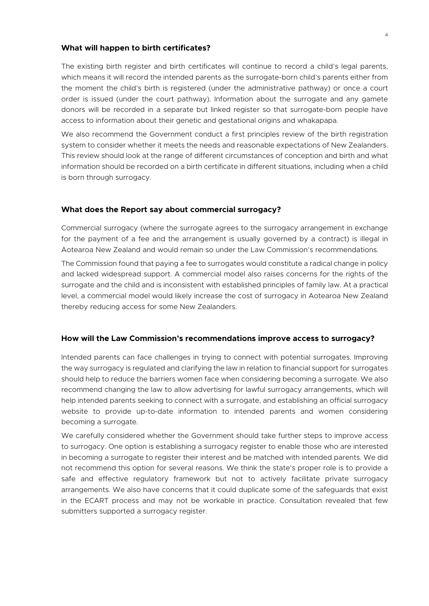### **What will happen to birth certificates?**

The existing birth register and birth certificates will continue to record a child's legal parents, which means it will record the intended parents as the surrogate-born child's parents either from the moment the child's birth is registered (under the administrative pathway) or once a court order is issued (under the court pathway). Information about the surrogate and any gamete donors will be recorded in a separate but linked register so that surrogate-born people have access to information about their genetic and gestational origins and whakapapa.

We also recommend the Government conduct a first principles review of the birth registration system to consider whether it meets the needs and reasonable expectations of New Zealanders. This review should look at the range of different circumstances of conception and birth and what information should be recorded on a birth certificate in different situations, including when a child is born through surrogacy.

#### **What does the Report say about commercial surrogacy?**

Commercial surrogacy (where the surrogate agrees to the surrogacy arrangement in exchange for the payment of a fee and the arrangement is usually governed by a contract) is illegal in Aotearoa New Zealand and would remain so under the Law Commission's recommendations.

The Commission found that paying a fee to surrogates would constitute a radical change in policy and lacked widespread support. A commercial model also raises concerns for the rights of the surrogate and the child and is inconsistent with established principles of family law. At a practical level, a commercial model would likely increase the cost of surrogacy in Aotearoa New Zealand thereby reducing access for some New Zealanders.

#### **How will the Law Commission's recommendations improve access to surrogacy?**

Intended parents can face challenges in trying to connect with potential surrogates. Improving the way surrogacy is regulated and clarifying the law in relation to financial support for surrogates should help to reduce the barriers women face when considering becoming a surrogate. We also recommend changing the law to allow advertising for lawful surrogacy arrangements, which will help intended parents seeking to connect with a surrogate, and establishing an official surrogacy website to provide up-to-date information to intended parents and women considering becoming a surrogate.

We carefully considered whether the Government should take further steps to improve access to surrogacy. One option is establishing a surrogacy register to enable those who are interested in becoming a surrogate to register their interest and be matched with intended parents. We did not recommend this option for several reasons. We think the state's proper role is to provide a safe and effective regulatory framework but not to actively facilitate private surrogacy arrangements. We also have concerns that it could duplicate some of the safeguards that exist in the ECART process and may not be workable in practice. Consultation revealed that few submitters supported a surrogacy register.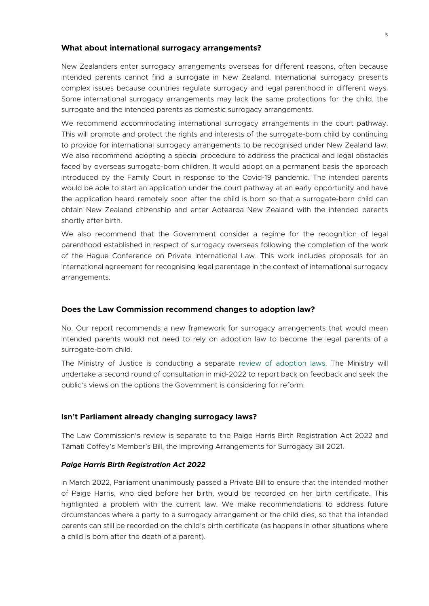## **What about international surrogacy arrangements?**

New Zealanders enter surrogacy arrangements overseas for different reasons, often because intended parents cannot find a surrogate in New Zealand. International surrogacy presents complex issues because countries regulate surrogacy and legal parenthood in different ways. Some international surrogacy arrangements may lack the same protections for the child, the surrogate and the intended parents as domestic surrogacy arrangements.

We recommend accommodating international surrogacy arrangements in the court pathway. This will promote and protect the rights and interests of the surrogate-born child by continuing to provide for international surrogacy arrangements to be recognised under New Zealand law. We also recommend adopting a special procedure to address the practical and legal obstacles faced by overseas surrogate-born children. It would adopt on a permanent basis the approach introduced by the Family Court in response to the Covid-19 pandemic. The intended parents would be able to start an application under the court pathway at an early opportunity and have the application heard remotely soon after the child is born so that a surrogate-born child can obtain New Zealand citizenship and enter Aotearoa New Zealand with the intended parents shortly after birth.

We also recommend that the Government consider a regime for the recognition of legal parenthood established in respect of surrogacy overseas following the completion of the work of the Hague Conference on Private International Law. This work includes proposals for an international agreement for recognising legal parentage in the context of international surrogacy arrangements.

## **Does the Law Commission recommend changes to adoption law?**

No. Our report recommends a new framework for surrogacy arrangements that would mean intended parents would not need to rely on adoption law to become the legal parents of a surrogate-born child.

The Ministry of Justice is conducting a separate [review of adoption laws.](https://www.justice.govt.nz/justice-sector-policy/key-initiatives/adoption-law-reform/) The Ministry will undertake a second round of consultation in mid-2022 to report back on feedback and seek the public's views on the options the Government is considering for reform.

## **Isn't Parliament already changing surrogacy laws?**

The Law Commission's review is separate to the Paige Harris Birth Registration Act 2022 and Tāmati Coffey's Member's Bill, the Improving Arrangements for Surrogacy Bill 2021.

## *Paige Harris Birth Registration Act 2022*

In March 2022, Parliament unanimously passed a Private Bill to ensure that the intended mother of Paige Harris, who died before her birth, would be recorded on her birth certificate. This highlighted a problem with the current law. We make recommendations to address future circumstances where a party to a surrogacy arrangement or the child dies, so that the intended parents can still be recorded on the child's birth certificate (as happens in other situations where a child is born after the death of a parent).